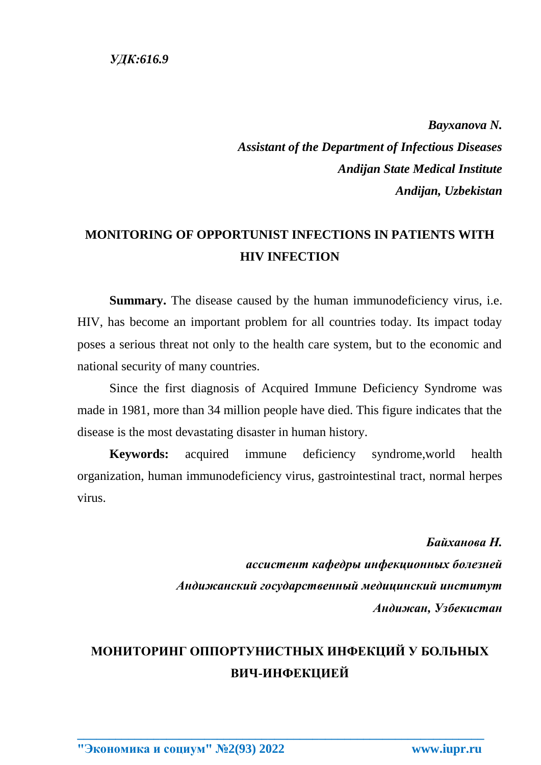*Bayxanova N. Assistant of the Department of Infectious Diseases Andijan State Medical Institute Andijan, Uzbekistan*

## **MONITORING OF OPPORTUNIST INFECTIONS IN PATIENTS WITH HIV INFECTION**

**Summary.** The disease caused by the human immunodeficiency virus, i.e. HIV, has become an important problem for all countries today. Its impact today poses a serious threat not only to the health care system, but to the economic and national security of many countries.

Since the first diagnosis of Acquired Immune Deficiency Syndrome was made in 1981, more than 34 million people have died. This figure indicates that the disease is the most devastating disaster in human history.

**Keywords:** acquired immune deficiency syndrome,world health organization, human immunodeficiency virus, gastrointestinal tract, normal herpes virus.

> *Байханова Н. ассистент кафедры инфекционных болезней Андижанский государственный медицинский институт Андижан, Узбекистан*

## **МОНИТОРИНГ ОППОРТУНИСТНЫХ ИНФЕКЦИЙ У БОЛЬНЫХ ВИЧ-ИНФЕКЦИЕЙ**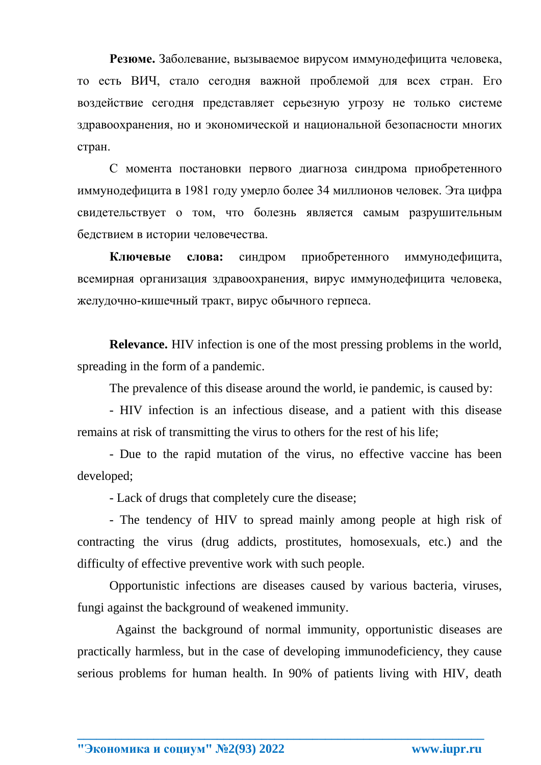**Резюме.** Заболевание, вызываемое вирусом иммунодефицита человека, то есть ВИЧ, стало сегодня важной проблемой для всех стран. Его воздействие сегодня представляет серьезную угрозу не только системе здравоохранения, но и экономической и национальной безопасности многих стран.

С момента постановки первого диагноза синдрома приобретенного иммунодефицита в 1981 году умерло более 34 миллионов человек. Эта цифра свидетельствует о том, что болезнь является самым разрушительным бедствием в истории человечества.

**Ключевые слова:** синдром приобретенного иммунодефицита, всемирная организация здравоохранения, вирус иммунодефицита человека, желудочно-кишечный тракт, вирус обычного герпеса.

**Relevance.** HIV infection is one of the most pressing problems in the world. spreading in the form of a pandemic.

The prevalence of this disease around the world, ie pandemic, is caused by:

- HIV infection is an infectious disease, and a patient with this disease remains at risk of transmitting the virus to others for the rest of his life;

- Due to the rapid mutation of the virus, no effective vaccine has been developed;

- Lack of drugs that completely cure the disease;

- The tendency of HIV to spread mainly among people at high risk of contracting the virus (drug addicts, prostitutes, homosexuals, etc.) and the difficulty of effective preventive work with such people.

Opportunistic infections are diseases caused by various bacteria, viruses, fungi against the background of weakened immunity.

 Against the background of normal immunity, opportunistic diseases are practically harmless, but in the case of developing immunodeficiency, they cause serious problems for human health. In 90% of patients living with HIV, death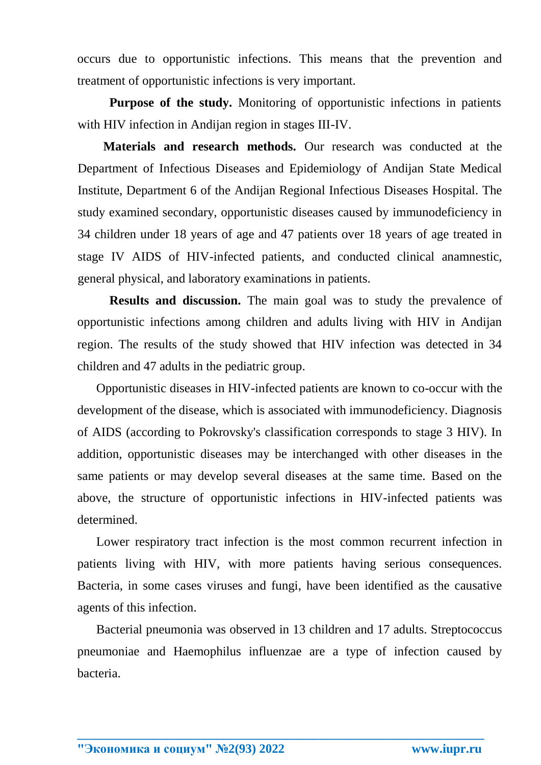occurs due to opportunistic infections. This means that the prevention and treatment of opportunistic infections is very important.

**Purpose of the study.** Monitoring of opportunistic infections in patients with HIV infection in Andijan region in stages III-IV.

**Materials and research methods.** Our research was conducted at the Department of Infectious Diseases and Epidemiology of Andijan State Medical Institute, Department 6 of the Andijan Regional Infectious Diseases Hospital. The study examined secondary, opportunistic diseases caused by immunodeficiency in 34 children under 18 years of age and 47 patients over 18 years of age treated in stage IV AIDS of HIV-infected patients, and conducted clinical anamnestic, general physical, and laboratory examinations in patients.

**Results and discussion.** The main goal was to study the prevalence of opportunistic infections among children and adults living with HIV in Andijan region. The results of the study showed that HIV infection was detected in 34 children and 47 adults in the pediatric group.

 Opportunistic diseases in HIV-infected patients are known to co-occur with the development of the disease, which is associated with immunodeficiency. Diagnosis of AIDS (according to Pokrovsky's classification corresponds to stage 3 HIV). In addition, opportunistic diseases may be interchanged with other diseases in the same patients or may develop several diseases at the same time. Based on the above, the structure of opportunistic infections in HIV-infected patients was determined.

 Lower respiratory tract infection is the most common recurrent infection in patients living with HIV, with more patients having serious consequences. Bacteria, in some cases viruses and fungi, have been identified as the causative agents of this infection.

 Bacterial pneumonia was observed in 13 children and 17 adults. Streptococcus pneumoniae and Haemophilus influenzae are a type of infection caused by bacteria.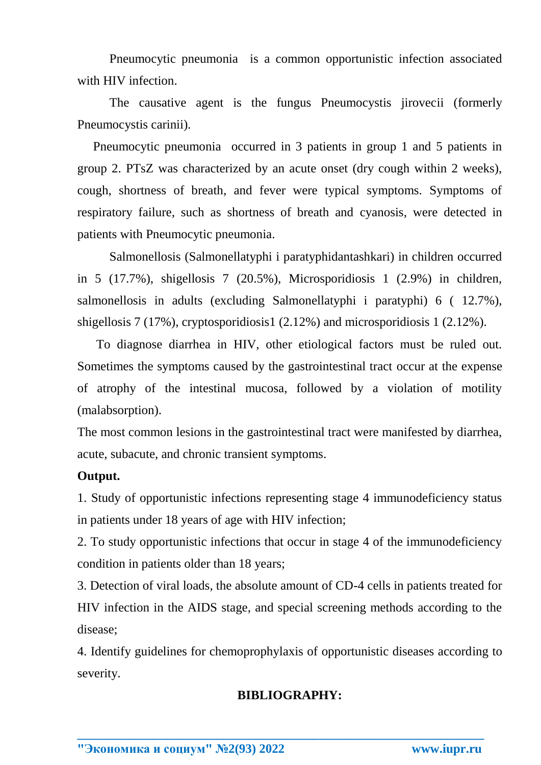Pneumocytic pneumonia is a common opportunistic infection associated with HIV infection.

The causative agent is the fungus Pneumocystis jirovecii (formerly Pneumocystis carinii).

 Pneumocytic pneumonia occurred in 3 patients in group 1 and 5 patients in group 2. PTsZ was characterized by an acute onset (dry cough within 2 weeks), cough, shortness of breath, and fever were typical symptoms. Symptoms of respiratory failure, such as shortness of breath and cyanosis, were detected in patients with Pneumocytic pneumonia.

Salmonellosis (Salmonellatyphi i paratyphidantashkari) in children occurred in 5 (17.7%), shigellosis 7 (20.5%), Microsporidiosis 1 (2.9%) in children, salmonellosis in adults (excluding Salmonellatyphi i paratyphi) 6 ( 12.7%), shigellosis 7 (17%), cryptosporidiosis1 (2.12%) and microsporidiosis 1 (2.12%).

 To diagnose diarrhea in HIV, other etiological factors must be ruled out. Sometimes the symptoms caused by the gastrointestinal tract occur at the expense of atrophy of the intestinal mucosa, followed by a violation of motility (malabsorption).

The most common lesions in the gastrointestinal tract were manifested by diarrhea, acute, subacute, and chronic transient symptoms.

## **Output.**

1. Study of opportunistic infections representing stage 4 immunodeficiency status in patients under 18 years of age with HIV infection;

2. To study opportunistic infections that occur in stage 4 of the immunodeficiency condition in patients older than 18 years;

3. Detection of viral loads, the absolute amount of CD-4 cells in patients treated for HIV infection in the AIDS stage, and special screening methods according to the disease;

4. Identify guidelines for chemoprophylaxis of opportunistic diseases according to severity.

## **BIBLIOGRAPHY:**